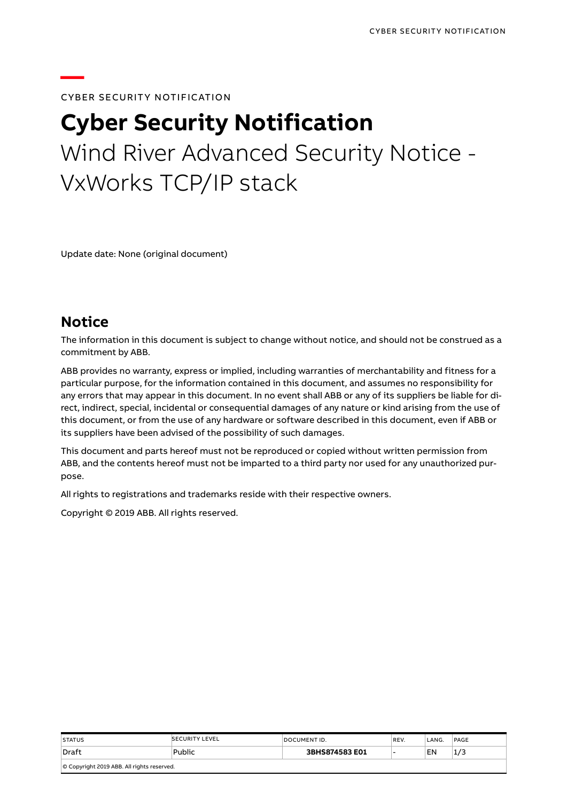#### **CYBER SECURITY NOTIFICATION**

# **Cyber Security Notification** Wind River Advanced Security Notice - VxWorks TCP/IP stack

Update date: None (original document)

#### **Notice**

**—**

The information in this document is subject to change without notice, and should not be construed as a commitment by ABB.

ABB provides no warranty, express or implied, including warranties of merchantability and fitness for a particular purpose, for the information contained in this document, and assumes no responsibility for any errors that may appear in this document. In no event shall ABB or any of its suppliers be liable for direct, indirect, special, incidental or consequential damages of any nature or kind arising from the use of this document, or from the use of any hardware or software described in this document, even if ABB or its suppliers have been advised of the possibility of such damages.

This document and parts hereof must not be reproduced or copied without written permission from ABB, and the contents hereof must not be imparted to a third party nor used for any unauthorized purpose.

All rights to registrations and trademarks reside with their respective owners.

Copyright © 2019 ABB. All rights reserved.

| <b>STATUS</b>                              | <b>SECURITY LEVEL</b> | DOCUMENT ID.   | REV. | LANG. | PAGE |  |  |
|--------------------------------------------|-----------------------|----------------|------|-------|------|--|--|
| Draft                                      | Public                | 3BHS874583 E01 |      | EN    | 1/3  |  |  |
| © Copyright 2019 ABB. All rights reserved. |                       |                |      |       |      |  |  |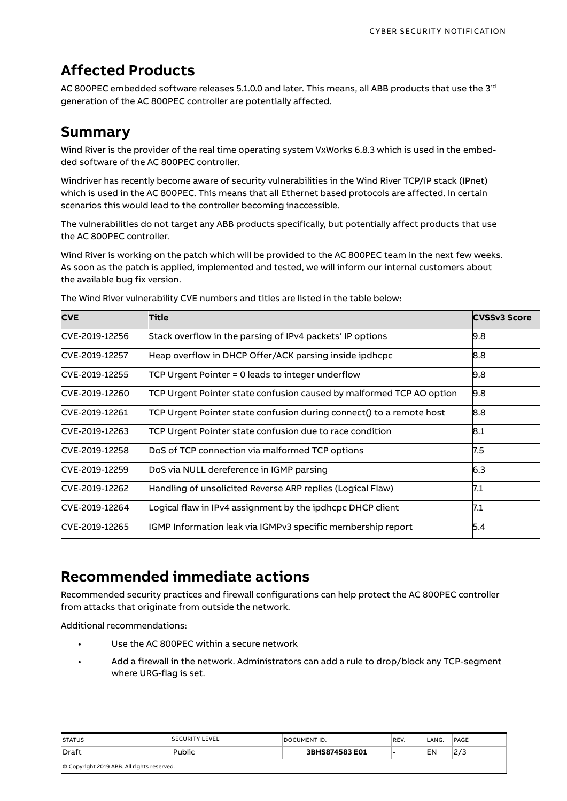# **Affected Products**

AC 800PEC embedded software releases 5.1.0.0 and later. This means, all ABB products that use the 3 $^{\rm rd}$ generation of the AC 800PEC controller are potentially affected.

### **Summary**

Wind River is the provider of the real time operating system VxWorks 6.8.3 which is used in the embedded software of the AC 800PEC controller.

Windriver has recently become aware of security vulnerabilities in the Wind River TCP/IP stack (IPnet) which is used in the AC 800PEC. This means that all Ethernet based protocols are affected. In certain scenarios this would lead to the controller becoming inaccessible.

The vulnerabilities do not target any ABB products specifically, but potentially affect products that use the AC 800PEC controller.

Wind River is working on the patch which will be provided to the AC 800PEC team in the next few weeks. As soon as the patch is applied, implemented and tested, we will inform our internal customers about the available bug fix version.

| <b>CVE</b>     | <b>Title</b>                                                         | <b>CVSSv3 Score</b> |
|----------------|----------------------------------------------------------------------|---------------------|
| CVE-2019-12256 | Stack overflow in the parsing of IPv4 packets' IP options            | 9.8                 |
| CVE-2019-12257 | Heap overflow in DHCP Offer/ACK parsing inside ipdhcpc               | 8.8                 |
| CVE-2019-12255 | TCP Urgent Pointer = 0 leads to integer underflow                    | 9.8                 |
| CVE-2019-12260 | TCP Urgent Pointer state confusion caused by malformed TCP AO option | 9.8                 |
| CVE-2019-12261 | TCP Urgent Pointer state confusion during connect() to a remote host | 8.8                 |
| CVE-2019-12263 | TCP Urgent Pointer state confusion due to race condition             | 8.1                 |
| CVE-2019-12258 | DoS of TCP connection via malformed TCP options                      | 7.5                 |
| CVE-2019-12259 | DoS via NULL dereference in IGMP parsing                             | 6.3                 |
| CVE-2019-12262 | Handling of unsolicited Reverse ARP replies (Logical Flaw)           | 7.1                 |
| CVE-2019-12264 | Logical flaw in IPv4 assignment by the ipdhcpc DHCP client           | 7.1                 |
| CVE-2019-12265 | IGMP Information leak via IGMPv3 specific membership report          | 5.4                 |

The Wind River vulnerability CVE numbers and titles are listed in the table below:

## **Recommended immediate actions**

Recommended security practices and firewall configurations can help protect the AC 800PEC controller from attacks that originate from outside the network.

Additional recommendations:

- Use the AC 800PEC within a secure network
- Add a firewall in the network. Administrators can add a rule to drop/block any TCP-segment where URG-flag is set.

| <b>STATUS</b>                              | <b>SECURITY LEVEL</b> | DOCUMENT ID.   | REV. | LANG. | PAGE |  |
|--------------------------------------------|-----------------------|----------------|------|-------|------|--|
| ∣Draft                                     | Public                | 3BHS874583 E01 |      | EN    | 2/3  |  |
| O Copyright 2019 ABB. All rights reserved. |                       |                |      |       |      |  |